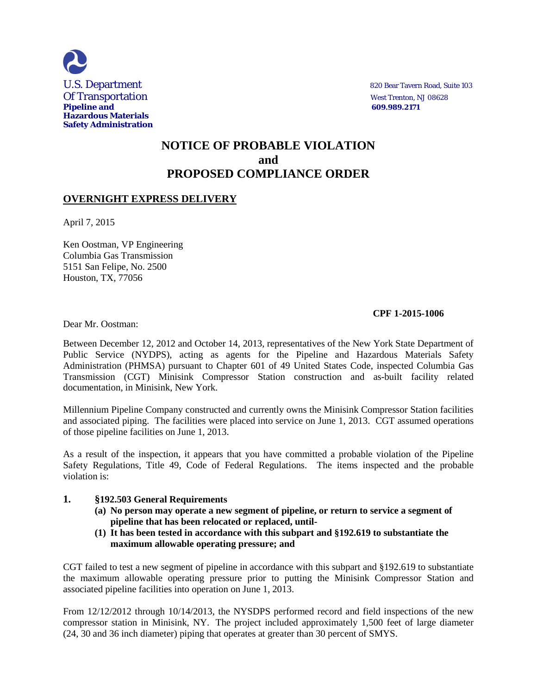

# **NOTICE OF PROBABLE VIOLATION and PROPOSED COMPLIANCE ORDER**

## **OVERNIGHT EXPRESS DELIVERY**

April 7, 2015

Ken Oostman, VP Engineering Columbia Gas Transmission 5151 San Felipe, No. 2500 Houston, TX, 77056

## **CPF 1-2015-1006**

Dear Mr. Oostman:

Between December 12, 2012 and October 14, 2013, representatives of the New York State Department of Public Service (NYDPS), acting as agents for the Pipeline and Hazardous Materials Safety Administration (PHMSA) pursuant to Chapter 601 of 49 United States Code, inspected Columbia Gas Transmission (CGT) Minisink Compressor Station construction and as-built facility related documentation, in Minisink, New York.

Millennium Pipeline Company constructed and currently owns the Minisink Compressor Station facilities and associated piping. The facilities were placed into service on June 1, 2013. CGT assumed operations of those pipeline facilities on June 1, 2013.

As a result of the inspection, it appears that you have committed a probable violation of the Pipeline Safety Regulations, Title 49, Code of Federal Regulations. The items inspected and the probable violation is:

## **1. §192.503 General Requirements**

- **(a) No person may operate a new segment of pipeline, or return to service a segment of pipeline that has been relocated or replaced, until-**
- **(1) It has been tested in accordance with this subpart and §192.619 to substantiate the maximum allowable operating pressure; and**

CGT failed to test a new segment of pipeline in accordance with this subpart and §192.619 to substantiate the maximum allowable operating pressure prior to putting the Minisink Compressor Station and associated pipeline facilities into operation on June 1, 2013.

From 12/12/2012 through 10/14/2013, the NYSDPS performed record and field inspections of the new compressor station in Minisink, NY. The project included approximately 1,500 feet of large diameter (24, 30 and 36 inch diameter) piping that operates at greater than 30 percent of SMYS.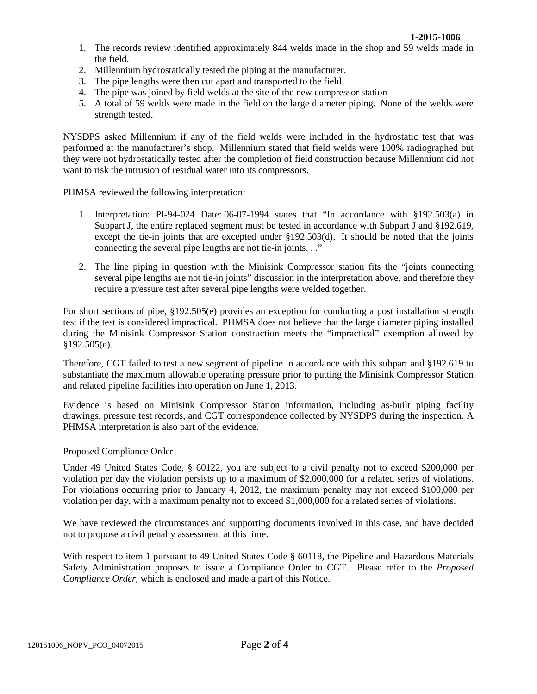- 1. The records review identified approximately 844 welds made in the shop and 59 welds made in the field.
- 2. Millennium hydrostatically tested the piping at the manufacturer.
- 3. The pipe lengths were then cut apart and transported to the field
- 4. The pipe was joined by field welds at the site of the new compressor station
- 5. A total of 59 welds were made in the field on the large diameter piping. None of the welds were strength tested.

NYSDPS asked Millennium if any of the field welds were included in the hydrostatic test that was performed at the manufacturer's shop. Millennium stated that field welds were 100% radiographed but they were not hydrostatically tested after the completion of field construction because Millennium did not want to risk the intrusion of residual water into its compressors.

PHMSA reviewed the following interpretation:

- 1. Interpretation: PI-94-024 Date: 06-07-1994 states that "In accordance with §192.503(a) in Subpart J, the entire replaced segment must be tested in accordance with Subpart J and §192.619, except the tie-in joints that are excepted under §192.503(d). It should be noted that the joints connecting the several pipe lengths are not tie-in joints. . ."
- 2. The line piping in question with the Minisink Compressor station fits the "joints connecting several pipe lengths are not tie-in joints" discussion in the interpretation above, and therefore they require a pressure test after several pipe lengths were welded together.

For short sections of pipe, §192.505(e) provides an exception for conducting a post installation strength test if the test is considered impractical. PHMSA does not believe that the large diameter piping installed during the Minisink Compressor Station construction meets the "impractical" exemption allowed by §192.505(e).

Therefore, CGT failed to test a new segment of pipeline in accordance with this subpart and §192.619 to substantiate the maximum allowable operating pressure prior to putting the Minisink Compressor Station and related pipeline facilities into operation on June 1, 2013.

Evidence is based on Minisink Compressor Station information, including as-built piping facility drawings, pressure test records, and CGT correspondence collected by NYSDPS during the inspection. A PHMSA interpretation is also part of the evidence.

#### Proposed Compliance Order

Under 49 United States Code, § 60122, you are subject to a civil penalty not to exceed \$200,000 per violation per day the violation persists up to a maximum of \$2,000,000 for a related series of violations. For violations occurring prior to January 4, 2012, the maximum penalty may not exceed \$100,000 per violation per day, with a maximum penalty not to exceed \$1,000,000 for a related series of violations.

We have reviewed the circumstances and supporting documents involved in this case, and have decided not to propose a civil penalty assessment at this time.

With respect to item 1 pursuant to 49 United States Code § 60118, the Pipeline and Hazardous Materials Safety Administration proposes to issue a Compliance Order to CGT. Please refer to the *Proposed Compliance Order*, which is enclosed and made a part of this Notice.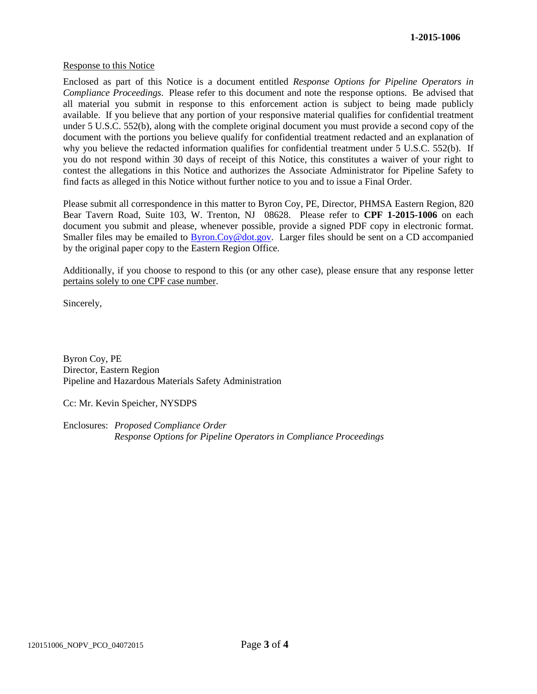#### Response to this Notice

Enclosed as part of this Notice is a document entitled *Response Options for Pipeline Operators in Compliance Proceedings*. Please refer to this document and note the response options. Be advised that all material you submit in response to this enforcement action is subject to being made publicly available. If you believe that any portion of your responsive material qualifies for confidential treatment under 5 U.S.C. 552(b), along with the complete original document you must provide a second copy of the document with the portions you believe qualify for confidential treatment redacted and an explanation of why you believe the redacted information qualifies for confidential treatment under 5 U.S.C. 552(b). If you do not respond within 30 days of receipt of this Notice, this constitutes a waiver of your right to contest the allegations in this Notice and authorizes the Associate Administrator for Pipeline Safety to find facts as alleged in this Notice without further notice to you and to issue a Final Order.

Please submit all correspondence in this matter to Byron Coy, PE, Director, PHMSA Eastern Region, 820 Bear Tavern Road, Suite 103, W. Trenton, NJ 08628. Please refer to **CPF 1-2015-1006** on each document you submit and please, whenever possible, provide a signed PDF copy in electronic format. Smaller files may be emailed to Byron.Coy@dot.gov. Larger files should be sent on a CD accompanied by the original paper copy to the Eastern Region Office.

Additionally, if you choose to respond to this (or any other case), please ensure that any response letter pertains solely to one CPF case number.

Sincerely,

Byron Coy, PE Director, Eastern Region Pipeline and Hazardous Materials Safety Administration

Cc: Mr. Kevin Speicher, NYSDPS

Enclosures: *Proposed Compliance Order Response Options for Pipeline Operators in Compliance Proceedings*